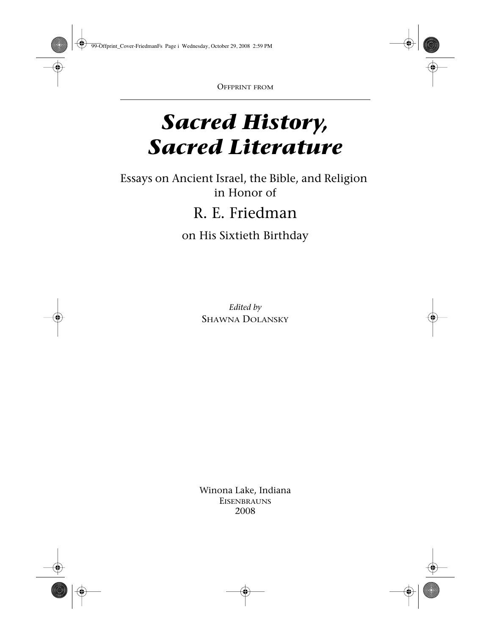# *Sacred History, Sacred Literature*

Essays on Ancient Israel, the Bible, and Religion in Honor of R. E. Friedman on His Sixtieth Birthday

> *Edited by* Shawna Dolansky

Winona Lake, Indiana **EISENBRAUNS** 2008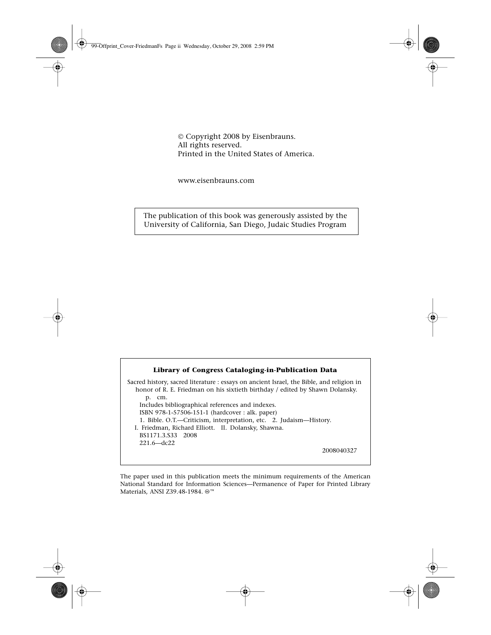ç Copyright 2008 by Eisenbrauns. All rights reserved. Printed in the United States of America.

www.eisenbrauns.com

The publication of this book was generously assisted by the University of California, San Diego, Judaic Studies Program

#### **Library of Congress Cataloging-in-Publication Data**

Sacred history, sacred literature : essays on ancient Israel, the Bible, and religion in honor of R. E. Friedman on his sixtieth birthday / edited by Shawn Dolansky. p. cm. Includes bibliographical references and indexes. ISBN 978-1-57506-151-1 (hardcover : alk. paper) 1. Bible. O.T.—Criticism, interpretation, etc. 2. Judaism—History. I. Friedman, Richard Elliott. II. Dolansky, Shawna. BS1171.3.S33 2008 221.6—dc22

2008040327

The paper used in this publication meets the minimum requirements of the American National Standard for Information Sciences—Permanence of Paper for Printed Library Materials, ANSI Z39.48-1984. <sup>®™</sup>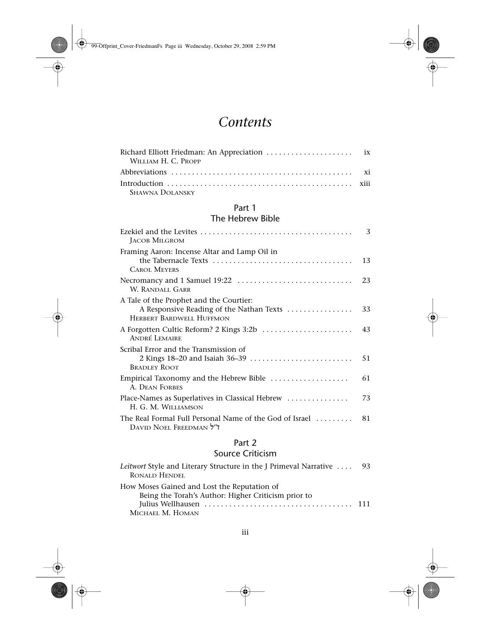## *Contents*

| WILLIAM H. C. Propp |  |
|---------------------|--|
|                     |  |
|                     |  |
| Shawna Dolansky     |  |

#### Part 1

### The Hebrew Bible

| Ezekiel and the Levites $\ldots, \ldots, \ldots, \ldots, \ldots, \ldots, \ldots, \ldots, \ldots, \ldots$<br><b>JACOB MILGROM</b> | 3  |
|----------------------------------------------------------------------------------------------------------------------------------|----|
| Framing Aaron: Incense Altar and Lamp Oil in<br><b>CAROL MEYERS</b>                                                              | 13 |
| W. RANDALL GARR                                                                                                                  | 23 |
| A Tale of the Prophet and the Courtier:<br>A Responsive Reading of the Nathan Texts<br><b>HERBERT BARDWELL HUFFMON</b>           | 33 |
| <b>ANDRÉ LEMAIRE</b>                                                                                                             | 43 |
| Scribal Error and the Transmission of<br>2 Kings 18-20 and Isaiah 36-39<br><b>BRADLEY ROOT</b>                                   | 51 |
| Empirical Taxonomy and the Hebrew Bible<br><b>A. DEAN FORBES</b>                                                                 | 61 |
| Place-Names as Superlatives in Classical Hebrew<br>H. G. M. WILLIAMSON                                                           | 73 |
| The Real Formal Full Personal Name of the God of Israel<br>DAVID NOEL FREEDMAN 7"                                                | 81 |

#### Part 2

### Source Criticism

| Leitwort Style and Literary Structure in the J Primeval Narrative  93 |  |
|-----------------------------------------------------------------------|--|
| <b>RONALD HENDEL</b>                                                  |  |
| How Moses Gained and Lost the Reputation of                           |  |
| Being the Torah's Author: Higher Criticism prior to                   |  |
|                                                                       |  |
| Michael M. Homan                                                      |  |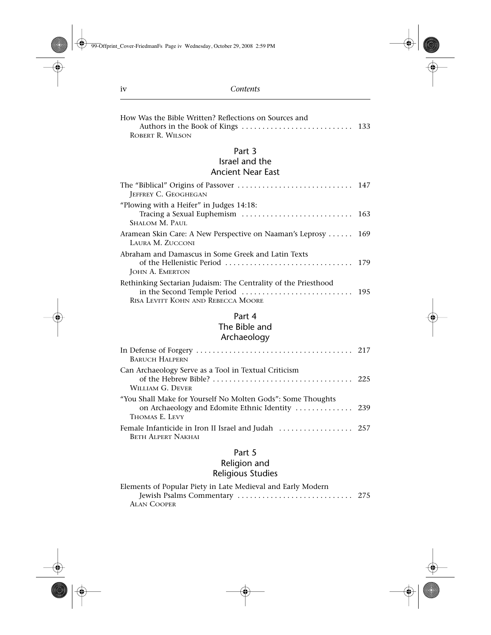| How Was the Bible Written? Reflections on Sources and                                                |  |
|------------------------------------------------------------------------------------------------------|--|
| ROBERT R. WILSON                                                                                     |  |
| Part 3                                                                                               |  |
| Israel and the                                                                                       |  |
| <b>Ancient Near East</b>                                                                             |  |
| <b>JEFFREY C. GEOGHEGAN</b>                                                                          |  |
| "Plowing with a Heifer" in Judges 14:18:<br>Tracing a Sexual Euphemism  163<br><b>SHALOM M. PAUL</b> |  |
| Aramean Skin Care: A New Perspective on Naaman's Leprosy  169<br>LAURA M. ZUCCONI                    |  |
| Abraham and Damascus in Some Greek and Latin Texts<br><b>JOHN A. EMERTON</b>                         |  |
| Rethinking Sectarian Judaism: The Centrality of the Priesthood<br>RISA LEVITT KOHN AND REBECCA MOORE |  |
| Part 4<br>The Bible and<br>Archaeology                                                               |  |
| <b>BARUCH HALPERN</b>                                                                                |  |
| Can Archaeology Serve as a Tool in Textual Criticism                                                 |  |

| WILLIAM G. DEVER                                                                                                                 |  |
|----------------------------------------------------------------------------------------------------------------------------------|--|
| "You Shall Make for Yourself No Molten Gods": Some Thoughts<br>on Archaeology and Edomite Ethnic Identity  239<br>THOMAS E. LEVY |  |
| <b>BETH ALPERT NAKHAI</b>                                                                                                        |  |

#### Part 5

#### Religion and Religious Studies

| Elements of Popular Piety in Late Medieval and Early Modern |  |
|-------------------------------------------------------------|--|
|                                                             |  |
| <b>ALAN COOPER</b>                                          |  |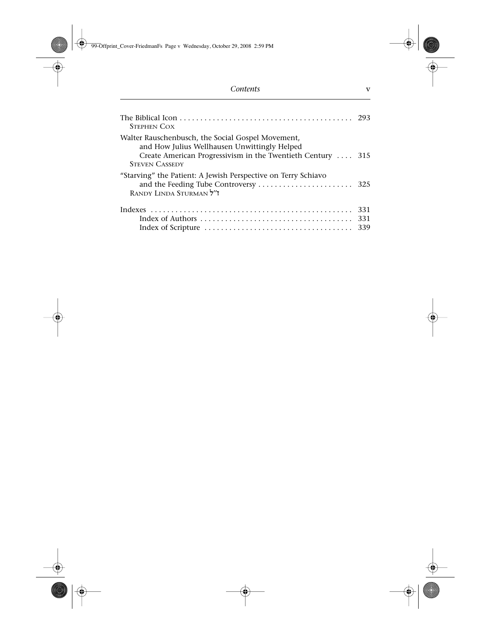| <b>STEPHEN COX</b>                                                                                                                                                                        |                   |
|-------------------------------------------------------------------------------------------------------------------------------------------------------------------------------------------|-------------------|
| Walter Rauschenbusch, the Social Gospel Movement,<br>and How Julius Wellhausen Unwittingly Helped<br>Create American Progressivism in the Twentieth Century  315<br><b>STEVEN CASSEDY</b> |                   |
| "Starving" the Patient: A Jewish Perspective on Terry Schiavo<br>RANDY LINDA STURMAN 7"                                                                                                   |                   |
|                                                                                                                                                                                           | 331<br>331<br>339 |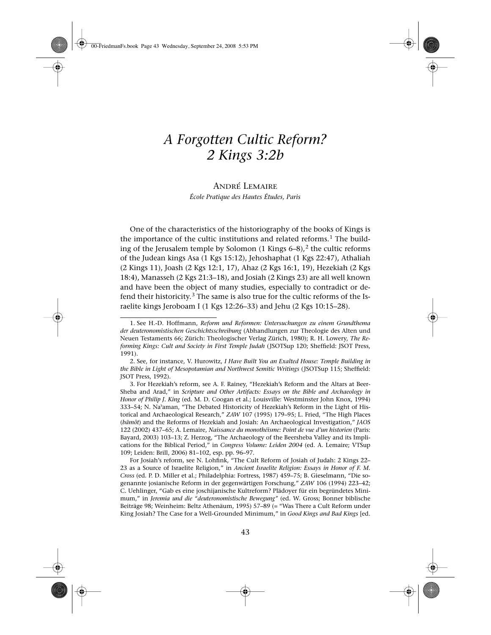## *A Forgotten Cultic Reform? 2 Kings 3:2b*

#### André Lemaire *École Pratique des Hautes Études, Paris*

One of the characteristics of the historiography of the books of Kings is the importance of the cultic institutions and related reforms.<sup>1</sup> The building of the Jerusalem temple by Solomon  $(1 \text{ Kings } 6-8)$ ,<sup>2</sup> the cultic reforms of the Judean kings Asa (1 Kgs 15:12), Jehoshaphat (1 Kgs 22:47), Athaliah (2 Kings 11), Joash (2 Kgs 12:1, 17), Ahaz (2 Kgs 16:1, 19), Hezekiah (2 Kgs 18:4), Manasseh (2 Kgs 21:3–18), and Josiah (2 Kings 23) are all well known and have been the object of many studies, especially to contradict or defend their historicity.<sup>3</sup> The same is also true for the cultic reforms of the Israelite kings Jeroboam I (1 Kgs 12:26–33) and Jehu (2 Kgs 10:15–28).

<sup>1.</sup> See H.-D. Hoffmann, *Reform und Reformen: Untersuchungen zu einem Grundthema der deuteronomistischen Geschichtsschreibung* (Abhandlungen zur Theologie des Alten und Neuen Testaments 66; Zürich: Theologischer Verlag Zürich, 1980); R. H. Lowery, *The Reforming Kings: Cult and Society in First Temple Judah* (JSOTSup 120; Sheffield: JSOT Press, 1991).

<sup>2.</sup> See, for instance, V. Hurowitz, *I Have Built You an Exalted House: Temple Building in the Bible in Light of Mesopotamian and Northwest Semitic Writings* (JSOTSup 115; Sheffield: JSOT Press, 1992).

<sup>3.</sup> For Hezekiah's reform, see A. F. Rainey, "Hezekiah's Reform and the Altars at Beer-Sheba and Arad," in *Scripture and Other Artifacts: Essays on the Bible and Archaeology in Honor of Philip J. King* (ed. M. D. Coogan et al.; Louisville: Westminster John Knox, 1994) 333–54; N. Naªaman, "The Debated Historicity of Hezekiah's Reform in the Light of Historical and Archaeological Research," *ZAW* 107 (1995) 179–95; L. Fried, "The High Places (*bamôt*) and the Reforms of Hezekiah and Josiah: An Archaeological Investigation," *JAOS* 122 (2002) 437–65; A. Lemaire, *Naissance du monothéisme: Point de vue d'un historien* (Paris: Bayard, 2003) 103–13; Z. Herzog, "The Archaeology of the Beersheba Valley and its Implications for the Biblical Period," in *Congress Volume: Leiden 2004* (ed. A. Lemaire; VTSup 109; Leiden: Brill, 2006) 81–102, esp. pp. 96–97.

For Josiah's reform, see N. Lohfink, "The Cult Reform of Josiah of Judah: 2 Kings 22– 23 as a Source of Israelite Religion," in *Ancient Israelite Religion: Essays in Honor of F. M. Cross* (ed. P. D. Miller et al.; Philadelphia: Fortress, 1987) 459–75; B. Gieselmann, "Die sogenannte josianische Reform in der gegenwärtigen Forschung," *ZAW* 106 (1994) 223–42; C. Uehlinger, "Gab es eine joschijanische Kultreform? Plädoyer für ein begründetes Minimum," in *Jeremia und die "deuteronomistische Bewegung"* (ed. W. Gross; Bonner biblische Beiträge 98; Weinheim: Beltz Athenäum, 1995) 57–89 (= "Was There a Cult Reform under King Josiah? The Case for a Well-Grounded Minimum," in *Good Kings and Bad Kings* [ed.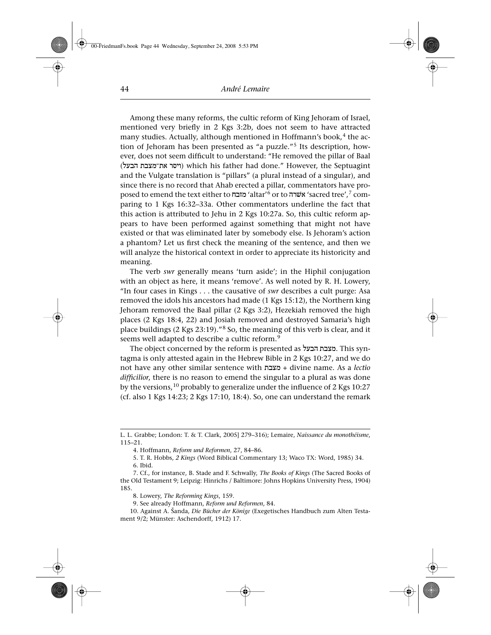Among these many reforms, the cultic reform of King Jehoram of Israel, mentioned very briefly in 2 Kgs 3:2b, does not seem to have attracted many studies. Actually, although mentioned in Hoffmann's book,<sup>4</sup> the action of Jehoram has been presented as "a puzzle."<sup>5</sup> Its description, however, does not seem difficult to understand: "He removed the pillar of Baal (ויסר את־מצבת הבעל) which his father had done." However, the Septuagint and the Vulgate translation is "pillars" (a plural instead of a singular), and since there is no record that Ahab erected a pillar, commentators have proposed to emend the text either to 'altar'<sup>6</sup> or to אשרה 'sacred tree',<sup>7</sup> comparing to 1 Kgs 16:32–33a. Other commentators underline the fact that this action is attributed to Jehu in 2 Kgs 10:27a. So, this cultic reform appears to have been performed against something that might not have existed or that was eliminated later by somebody else. Is Jehoram's action a phantom? Let us first check the meaning of the sentence, and then we will analyze the historical context in order to appreciate its historicity and meaning.

The verb *swr* generally means 'turn aside'; in the Hiphil conjugation with an object as here, it means 'remove'. As well noted by R. H. Lowery, "In four cases in Kings . . . the causative of *swr* describes a cult purge: Asa removed the idols his ancestors had made (1 Kgs 15:12), the Northern king Jehoram removed the Baal pillar (2 Kgs 3:2), Hezekiah removed the high places (2 Kgs 18:4, 22) and Josiah removed and destroyed Samaria's high place buildings (2 Kgs 23:19)."<sup>8</sup> So, the meaning of this verb is clear, and it seems well adapted to describe a cultic reform.<sup>9</sup>

The object concerned by the reform is presented as מצבת הבעל. This syntagma is only attested again in the Hebrew Bible in 2 Kgs 10:27, and we do not have any other similar sentence with tbxm + divine name. As a *lectio difficilior*, there is no reason to emend the singular to a plural as was done by the versions,  $10$  probably to generalize under the influence of 2 Kgs 10:27 (cf. also 1 Kgs 14:23; 2 Kgs 17:10, 18:4). So, one can understand the remark

L. L. Grabbe; London: T. & T. Clark, 2005] 279–316); Lemaire, *Naissance du monothéisme*, 115–21.

<sup>4.</sup> Hoffmann, *Reform und Reformen*, 27, 84–86.

<sup>5.</sup> T. R. Hobbs, *2 Kings* (Word Biblical Commentary 13; Waco TX: Word, 1985) 34. 6. Ibid.

<sup>7.</sup> Cf., for instance, B. Stade and F. Schwally, *The Books of Kings* (The Sacred Books of the Old Testament 9; Leipzig: Hinrichs / Baltimore: Johns Hopkins University Press, 1904) 185.

<sup>8.</sup> Lowery, *The Reforming Kings*, 159.

<sup>9.</sup> See already Hoffmann, *Reform und Reformen*, 84.

<sup>10.</sup> Against A. Sanda, *Die Bücher der Könige* (Exegetisches Handbuch zum Alten Testament 9/2; Münster: Aschendorff, 1912) 17.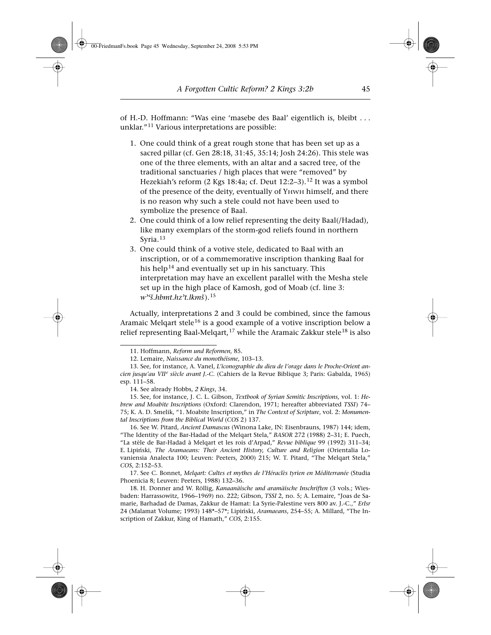of H.-D. Hoffmann: "Was eine 'masebe des Baal' eigentlich is, bleibt . . . unklar."11 Various interpretations are possible:

- 1. One could think of a great rough stone that has been set up as a sacred pillar (cf. Gen 28:18, 31:45, 35:14; Josh 24:26). This stele was one of the three elements, with an altar and a sacred tree, of the traditional sanctuaries / high places that were "removed" by Hezekiah's reform  $(2$  Kgs 18:4a; cf. Deut 12:2-3).<sup>12</sup> It was a symbol of the presence of the deity, eventually of Yhwh himself, and there is no reason why such a stele could not have been used to symbolize the presence of Baal.
- 2. One could think of a low relief representing the deity Baal(/Hadad), like many exemplars of the storm-god reliefs found in northern Syria.<sup>13</sup>
- 3. One could think of a votive stele, dedicated to Baal with an inscription, or of a commemorative inscription thanking Baal for his help<sup>14</sup> and eventually set up in his sanctuary. This interpretation may have an excellent parallel with the Mesha stele set up in the high place of Kamosh, god of Moab (cf. line 3: *wªºs.hbmt.hzªt.lkms* ).<sup>15</sup>

Actually, interpretations 2 and 3 could be combined, since the famous Aramaic Melqart stele<sup>16</sup> is a good example of a votive inscription below a relief representing Baal-Melgart,  $17$  while the Aramaic Zakkur stele<sup>18</sup> is also

<sup>11.</sup> Hoffmann, *Reform und Reformen*, 85.

<sup>12.</sup> Lemaire, *Naissance du monothéisme*, 103–13.

<sup>13.</sup> See, for instance, A. Vanel, *L'iconographie du dieu de l'orage dans le Proche-Orient an*cien jusqu'au VII<sup>e</sup> siècle avant J.-C. (Cahiers de la Revue Biblique 3; Paris: Gabalda, 1965) esp. 111–58.

<sup>14.</sup> See already Hobbs, *2 Kings*, 34.

<sup>15.</sup> See, for instance, J. C. L. Gibson, *Textbook of Syrian Semitic Inscriptions*, vol. 1: *Hebrew and Moabite Inscriptions* (Oxford: Clarendon, 1971; hereafter abbreviated *TSSI*) 74– 75; K. A. D. Smelik, "1. Moabite Inscription," in *The Context of Scripture*, vol. 2: *Monumental Inscriptions from the Biblical World* (*COS* 2) 137.

<sup>16.</sup> See W. Pitard, *Ancient Damascus* (Winona Lake, IN: Eisenbrauns, 1987) 144; idem, "The Identity of the Bar-Hadad of the Melqart Stela," *BASOR* 272 (1988) 2–31; E. Puech, "La stèle de Bar-Hadad à Melqart et les rois d'Arpad," *Revue biblique* 99 (1992) 311–34; E. Lipinski, *The Aramaeans: Their Ancient History, Culture and Religion* (Orientalia Lovaniensia Analecta 100; Leuven: Peeters, 2000) 215; W. T. Pitard, "The Melqart Stela," *COS*, 2:152–53.

<sup>17.</sup> See C. Bonnet, *Melqart: Cultes et mythes de l'Héraclès tyrien en Méditerranée* (Studia Phoenicia 8; Leuven: Peeters, 1988) 132–36.

<sup>18.</sup> H. Donner and W. Röllig, *Kanaanäische und aramäische Inschriften* (3 vols.; Wiesbaden: Harrassowitz, 1966–1969) no. 222; Gibson, *TSSI* 2, no. 5; A. Lemaire, "Joas de Samarie, Barhadad de Damas, Zakkur de Hamat: La Syrie-Palestine vers 800 av. J.-C.," *ErIsr* 24 (Malamat Volume; 1993) 148\*–57\*; Lipinski, *Aramaeans*, 254–55; A. Millard, "The Inscription of Zakkur, King of Hamath," *COS*, 2:155.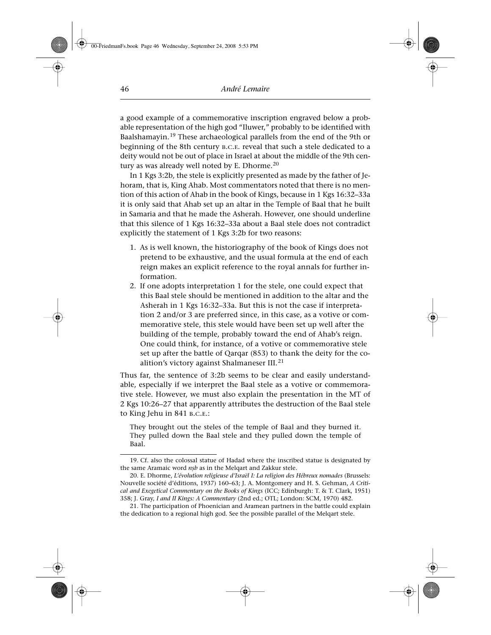a good example of a commemorative inscription engraved below a probable representation of the high god "Iluwer," probably to be identified with Baalshamayin.<sup>19</sup> These archaeological parallels from the end of the 9th or beginning of the 8th century b.c.e. reveal that such a stele dedicated to a deity would not be out of place in Israel at about the middle of the 9th century as was already well noted by E. Dhorme.<sup>20</sup>

In 1 Kgs 3:2b, the stele is explicitly presented as made by the father of Jehoram, that is, King Ahab. Most commentators noted that there is no mention of this action of Ahab in the book of Kings, because in 1 Kgs 16:32–33a it is only said that Ahab set up an altar in the Temple of Baal that he built in Samaria and that he made the Asherah. However, one should underline that this silence of 1 Kgs 16:32–33a about a Baal stele does not contradict explicitly the statement of 1 Kgs 3:2b for two reasons:

- 1. As is well known, the historiography of the book of Kings does not pretend to be exhaustive, and the usual formula at the end of each reign makes an explicit reference to the royal annals for further information.
- 2. If one adopts interpretation 1 for the stele, one could expect that this Baal stele should be mentioned in addition to the altar and the Asherah in 1 Kgs 16:32–33a. But this is not the case if interpretation 2 and/or 3 are preferred since, in this case, as a votive or commemorative stele, this stele would have been set up well after the building of the temple, probably toward the end of Ahab's reign. One could think, for instance, of a votive or commemorative stele set up after the battle of Qarqar (853) to thank the deity for the coalition's victory against Shalmaneser III.<sup>21</sup>

Thus far, the sentence of 3:2b seems to be clear and easily understandable, especially if we interpret the Baal stele as a votive or commemorative stele. However, we must also explain the presentation in the MT of 2 Kgs 10:26–27 that apparently attributes the destruction of the Baal stele to King Jehu in 841 b.c.e.:

They brought out the steles of the temple of Baal and they burned it. They pulled down the Baal stele and they pulled down the temple of Baal.

<sup>19.</sup> Cf. also the colossal statue of Hadad where the inscribed statue is designated by the same Aramaic word *nßb* as in the Melqart and Zakkur stele.

<sup>20.</sup> E. Dhorme, *L'évolution religieuse d'Israël I: La religion des Hébreux nomades* (Brussels: Nouvelle société d'éditions, 1937) 160–63; J. A. Montgomery and H. S. Gehman, *A Critical and Exegetical Commentary on the Books of Kings* (ICC; Edinburgh: T. & T. Clark, 1951) 358; J. Gray, *I and II Kings: A Commentary* (2nd ed.; OTL; London: SCM, 1970) 482.

<sup>21.</sup> The participation of Phoenician and Aramean partners in the battle could explain the dedication to a regional high god. See the possible parallel of the Melqart stele.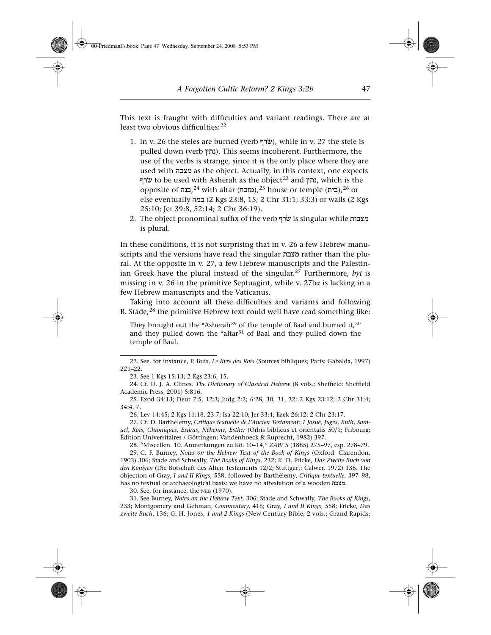This text is fraught with difficulties and variant readings. There are at least two obvious difficulties:<sup>22</sup>

- 1. In v. 26 the steles are burned (verb  $\psi$ ), while in v. 27 the stele is pulled down (verb נתץ). This seems incoherent. Furthermore, the use of the verbs is strange, since it is the only place where they are used with hbxm as the object. Actually, in this context, one expects ערף to be used with Asherah as the object<sup>23</sup> and **גות**ץ, which is the opposite of בנה,<sup>24</sup> with altar (מזבח),<sup>25</sup> house or temple (בית),<sup>26</sup> or else eventually hmb (2 Kgs 23:8, 15; 2 Chr 31:1; 33:3) or walls (2 Kgs 25:10; Jer 39:8, 52:14; 2 Chr 36:19).
- 2. The object pronominal suffix of the verb שׂרף is singular while מצבות is plural.

In these conditions, it is not surprising that in v. 26 a few Hebrew manuscripts and the versions have read the singular מצבח rather than the plural. At the opposite in v. 27, a few Hebrew manuscripts and the Palestinian Greek have the plural instead of the singular.<sup>27</sup> Furthermore, *byt* is missing in v. 26 in the primitive Septuagint, while v. 27ba is lacking in a few Hebrew manuscripts and the Vaticanus.

Taking into account all these difficulties and variants and following B. Stade,<sup>28</sup> the primitive Hebrew text could well have read something like:

They brought out the \*Asherah<sup>29</sup> of the temple of Baal and burned it,  $30$ and they pulled down the \*altar<sup>31</sup> of Baal and they pulled down the temple of Baal.

26. Lev 14:45; 2 Kgs 11:18, 23:7; Isa 22:10; Jer 33:4; Ezek 26:12; 2 Chr 23:17.

30. See, for instance, the neb (1970).

31. See Burney, *Notes on the Hebrew Text*, 306; Stade and Schwally, *The Books of Kings*, 233; Montgomery and Gehman, *Commentary*, 416; Gray, *I and II Kings*, 558; Fricke, *Das zweite Buch*, 136; G. H. Jones, *1 and 2 Kings* (New Century Bible; 2 vols.; Grand Rapids:

<sup>22.</sup> See, for instance, P. Buis, *Le livre des Rois* (Sources bibliques; Paris: Gabalda, 1997) 221–22.

<sup>23.</sup> See 1 Kgs 15:13; 2 Kgs 23:6, 15.

<sup>24.</sup> Cf. D. J. A. Clines, *The Dictionary of Classical Hebrew* (8 vols.; Sheffield: Sheffield Academic Press, 2001) 5:816.

<sup>25.</sup> Exod 34:13; Deut 7:5, 12:3; Judg 2:2; 6:28, 30, 31, 32; 2 Kgs 23:12; 2 Chr 31:4; 34:4, 7.

<sup>27.</sup> Cf. D. Barthélemy, *Critique textuelle de l'Ancien Testament: 1 Josué, Juges, Ruth, Samuel, Rois, Chroniques, Esdras, Néhémie, Esther* (Orbis biblicus et orientalis 50/1; Fribourg: Édition Universitaires / Göttingen: Vandenhoeck & Ruprecht, 1982) 397.

<sup>28. &</sup>quot;Miscellen. 10. Anmerkungen zu Kö. 10–14," *ZAW* 5 (1885) 275–97, esp. 278–79.

<sup>29.</sup> C. F. Burney, *Notes on the Hebrew Text of the Book of Kings* (Oxford: Clarendon, 1903) 306; Stade and Schwally, *The Books of Kings*, 232; K. D. Fricke, *Das Zweite Buch von den Königen* (Die Botschaft des Alten Testaments 12/2; Stuttgart: Calwer, 1972) 136. The objection of Gray, *I and II Kings*, 558, followed by Barthélemy, *Critique textuelle*, 397–98, has no textual or archaeological basis: we have no attestation of a wooden ...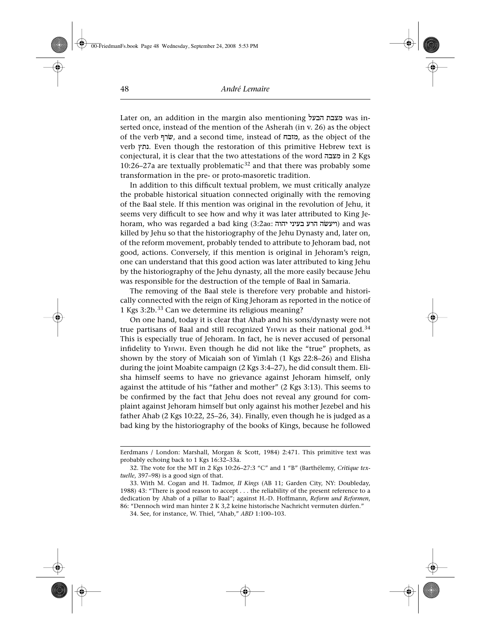Later on, an addition in the margin also mentioning מצבת הבעל serted once, instead of the mention of the Asherah (in v. 26) as the object of the verb שׂרף, and a second time, instead of מזבח, as the object of the verb נתץ. Even though the restoration of this primitive Hebrew text is conjectural, it is clear that the two attestations of the word מצבה in 2 Kgs 10:26–27a are textually problematic<sup>32</sup> and that there was probably some transformation in the pre- or proto-masoretic tradition.

In addition to this difficult textual problem, we must critically analyze the probable historical situation connected originally with the removing of the Baal stele. If this mention was original in the revolution of Jehu, it seems very difficult to see how and why it was later attributed to King Jehoram, who was regarded a bad king (3:2a $\alpha$ : ויעשׂה הרע בעיני והוה) and was killed by Jehu so that the historiography of the Jehu Dynasty and, later on, of the reform movement, probably tended to attribute to Jehoram bad, not good, actions. Conversely, if this mention is original in Jehoram's reign, one can understand that this good action was later attributed to king Jehu by the historiography of the Jehu dynasty, all the more easily because Jehu was responsible for the destruction of the temple of Baal in Samaria.

The removing of the Baal stele is therefore very probable and historically connected with the reign of King Jehoram as reported in the notice of 1 Kgs 3:2b.<sup>33</sup> Can we determine its religious meaning?

On one hand, today it is clear that Ahab and his sons/dynasty were not true partisans of Baal and still recognized YHWH as their national god.<sup>34</sup> This is especially true of Jehoram. In fact, he is never accused of personal infidelity to Yhwh. Even though he did not like the "true" prophets, as shown by the story of Micaiah son of Yimlah (1 Kgs 22:8–26) and Elisha during the joint Moabite campaign (2 Kgs 3:4–27), he did consult them. Elisha himself seems to have no grievance against Jehoram himself, only against the attitude of his "father and mother" (2 Kgs 3:13). This seems to be confirmed by the fact that Jehu does not reveal any ground for complaint against Jehoram himself but only against his mother Jezebel and his father Ahab (2 Kgs 10:22, 25–26, 34). Finally, even though he is judged as a bad king by the historiography of the books of Kings, because he followed

Eerdmans / London: Marshall, Morgan & Scott, 1984) 2:471. This primitive text was probably echoing back to 1 Kgs 16:32–33a.

<sup>32.</sup> The vote for the MT in 2 Kgs 10:26–27:3 "C" and 1 "B" (Barthélemy, *Critique textuelle*, 397–98) is a good sign of that.

<sup>33.</sup> With M. Cogan and H. Tadmor, *II Kings* (AB 11; Garden City, NY: Doubleday, 1988) 43: "There is good reason to accept . . . the reliability of the present reference to a dedication by Ahab of a pillar to Baal"; against H.-D. Hoffmann, *Reform und Reformen*, 86: "Dennoch wird man hinter 2 K 3,2 keine historische Nachricht vermuten dürfen."

<sup>34.</sup> See, for instance, W. Thiel, "Ahab," *ABD* 1:100–103.